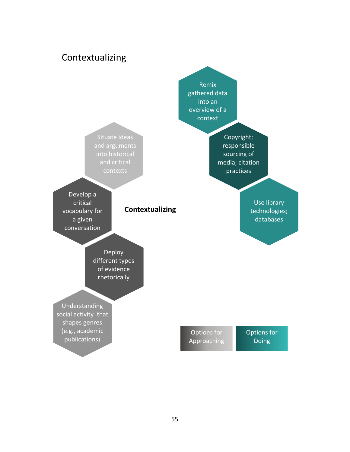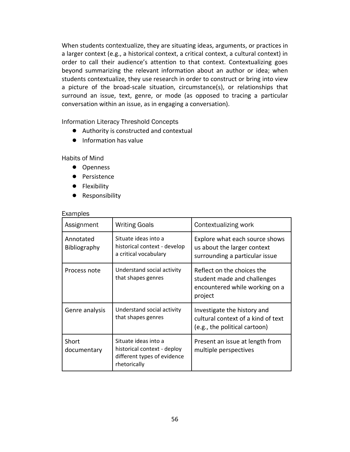When students contextualize, they are situating ideas, arguments, or practices in a larger context (e.g., a historical context, a critical context, a cultural context) in order to call their audience's attention to that context. Contextualizing goes beyond summarizing the relevant information about an author or idea; when students contextualize, they use research in order to construct or bring into view a picture of the broad-scale situation, circumstance(s), or relationships that surround an issue, text, genre, or mode (as opposed to tracing a particular conversation within an issue, as in engaging a conversation).

Information Literacy Threshold Concepts

- Authority is constructed and contextual
- Information has value

Habits of Mind

- Openness
- Persistence
- Flexibility
- Responsibility

## **Examples**

| Assignment                | <b>Writing Goals</b>                                                                               | Contextualizing work                                                                                   |
|---------------------------|----------------------------------------------------------------------------------------------------|--------------------------------------------------------------------------------------------------------|
| Annotated<br>Bibliography | Situate ideas into a<br>historical context - develop<br>a critical vocabulary                      | Explore what each source shows<br>us about the larger context<br>surrounding a particular issue        |
| Process note              | Understand social activity<br>that shapes genres                                                   | Reflect on the choices the<br>student made and challenges<br>encountered while working on a<br>project |
| Genre analysis            | Understand social activity<br>that shapes genres                                                   | Investigate the history and<br>cultural context of a kind of text<br>(e.g., the political cartoon)     |
| Short<br>documentary      | Situate ideas into a<br>historical context - deploy<br>different types of evidence<br>rhetorically | Present an issue at length from<br>multiple perspectives                                               |